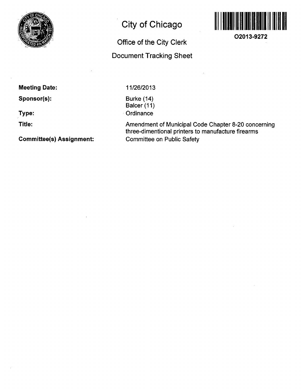

# **City of Chicago**

# **Office of the City Clerk**

# **Document Tracking Sheet**



**O2013-9272** 

**Meeting Date:** 

**Sponsor(s):** 

**Type:** 

**Title:** 

**Committee(s) Assignment:** 

11/26/2013

Burke (14) Balcer (11) **Ordinance** 

Amendment of Municipal Code Chapter 8-20 concerning three-dimentional printers to manufacture firearms Committee on Public Safety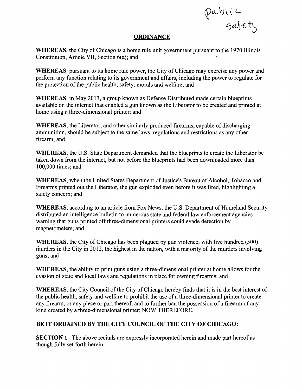public<br>salety

#### **ORDINANCE**

WHEREAS, the City of Chicago is a home rule unit govemment pursuant to the 1970 Illinois Constitution, Article VII, Section 6(a); and

WHEREAS, pursuant to its home rule power, the City of Chicago may exercise any power and perfonn any function relating to its govemment and affairs, including the power to regulate for the protection of the public health, safety, morals and welfare; and

WHEREAS, in May 2013, a group known as Defense Distributed made certain blueprints available on the internet that enabled a gun known as the Liberator to be created and printed at home using a three-dimensional printer; and

WHEREAS, the Liberator, and other similarly produced firearms, capable of discharging ammunition, should be subject to the same laws, regulations and restrictions as any other firearm; and

WHEREAS, the U.S. State Department demanded that the blueprints to create the Liberator be taken down from the intemet, but not before the blueprints had been downloaded more than 100,000 times; and

WHEREAS, when the United States Department of Justice's Bureau of Alcohol, Tobacco and Firearms printed out the Liberator, the gun exploded even before it was fired, highlighting a safety concem; and

WHEREAS, according to an article from Fox News, the U.S. Department of Homeland Security distributed an intelligence bulletin to numerous state and federal law enforcement agencies warning that guns printed off three-dimensional printers could evade detection by magnetometers; and

WHEREAS, the City of Chicago has been plagued by gun violence, with five hundred (500) murders in the City in 2012, the highest in the nation, with a majority of the murders involving guns; and

WHEREAS, the ability to print guns using a three-dimensional printer at home allows for the evasion of state and local laws and regulations in place for owning firearms; and

WHEREAS, the City Council of the City of Chicago hereby finds that it is in the best interest of the public health, safety and welfare to prohibit the use of a three-dimensional printer to create any firearm, or any piece or part thereof, and to further ban the possession of a firearm of any kind created by a three-dimensional printer; NOW THEREFORE,

# **BE IT ORDAINED BY THE CITY COUNCIL OF THE CITY OF CHICAGO:**

SECTION 1. The above recitals are expressly incorporated herein and made part hereof as though fully set forth herein.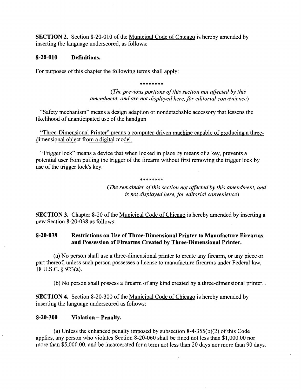SECTION 2. Section 8-20-010 of the Municipal Code of Chicago is hereby amended by inserting the language underscored, as follows:

### **8-20-010 Defmitions.**

For purposes of this chapter the following terms shall apply:

#### \*\*\*\*\*\*\*\*

*{The previous portions of this section not affected by this amendment, and are not displayed here, for editorial convenience)* 

"Safety mechanism" means a design adaption or nondetachable accessory that lessens the likelihood of unanticipated use of the handgun.

"Three-Dimensional Printer" means a computer-driven machine capable of producing a threedimensional object from a digital model.

"Trigger lock" means a device that when locked in place by means of a key, prevents a potential user from pulling the trigger of the firearm without first removing the trigger lock by use of the trigger lock's key.

#### \*\*\*\*\*\*\*\*

# *{The remainder of this section not affected by this amendment, and is not displayed here, for editorial convenience)*

SECTION 3. Chapter 8-20 of the Municipal Code of Chicago is hereby amended by inserting a new Section 8-20-038 as follows:

# **8-20-038 Restrictions on Use of Three-Dimensional Printer to Manufacture Firearms and Possession of Firearms Created by Three-Dimensional Printer.**

(a) No person shall use a three-dimensional printer to create any firearm, or any piece or part thereof, unless such person possesses a license to manufacture firearms under Federal law, 18 U.S.C. § 923(a).

(b) No person shall possess a firearm of any kind created by a three-dimensional printer.

SECTION 4. Section 8-20-300 of the Municipal Code of Chicago is hereby amended by inserting the language underscored as follows:

### **8-20-300 Violation - Penalty.**

(a) Unless the enhanced penalty imposed by subsection 8-4-355(b)(2) of this Code applies, any person who violates Section 8-20-060 shall be fined not less than \$1,000.00 nor more than \$5,000.00, and be incarcerated for a term not less than 20 days nor more than 90 days.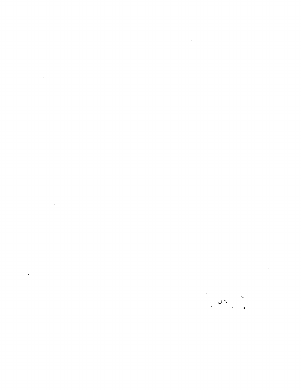$\label{eq:2.1} \frac{1}{\sqrt{2}}\int_{0}^{\infty}\frac{1}{\sqrt{2\pi}}\left(\frac{1}{\sqrt{2\pi}}\right)^{2}d\mu\left(\frac{1}{\sqrt{2\pi}}\right) \frac{d\mu}{\sqrt{2\pi}}\,.$